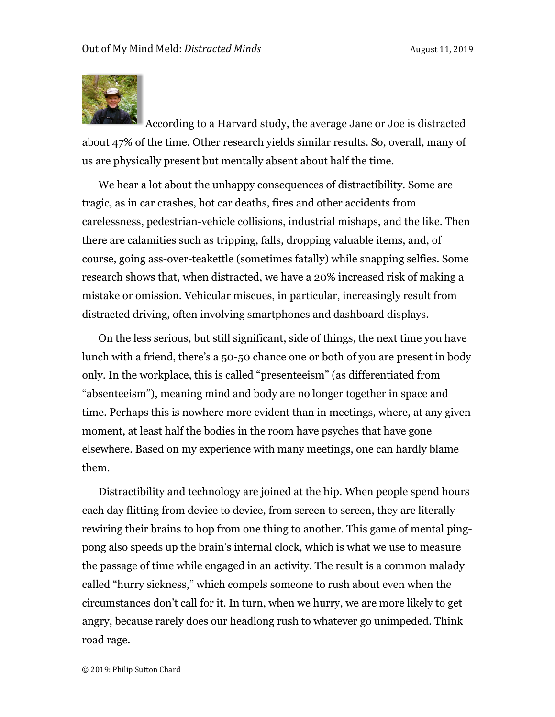

According to a Harvard study, the average Jane or Joe is distracted about 47% of the time. Other research yields similar results. So, overall, many of us are physically present but mentally absent about half the time.

We hear a lot about the unhappy consequences of distractibility. Some are tragic, as in car crashes, hot car deaths, fires and other accidents from carelessness, pedestrian-vehicle collisions, industrial mishaps, and the like. Then there are calamities such as tripping, falls, dropping valuable items, and, of course, going ass-over-teakettle (sometimes fatally) while snapping selfies. Some research shows that, when distracted, we have a 20% increased risk of making a mistake or omission. Vehicular miscues, in particular, increasingly result from distracted driving, often involving smartphones and dashboard displays.

On the less serious, but still significant, side of things, the next time you have lunch with a friend, there's a 50-50 chance one or both of you are present in body only. In the workplace, this is called "presenteeism" (as differentiated from "absenteeism"), meaning mind and body are no longer together in space and time. Perhaps this is nowhere more evident than in meetings, where, at any given moment, at least half the bodies in the room have psyches that have gone elsewhere. Based on my experience with many meetings, one can hardly blame them.

Distractibility and technology are joined at the hip. When people spend hours each day flitting from device to device, from screen to screen, they are literally rewiring their brains to hop from one thing to another. This game of mental pingpong also speeds up the brain's internal clock, which is what we use to measure the passage of time while engaged in an activity. The result is a common malady called "hurry sickness," which compels someone to rush about even when the circumstances don't call for it. In turn, when we hurry, we are more likely to get angry, because rarely does our headlong rush to whatever go unimpeded. Think road rage.